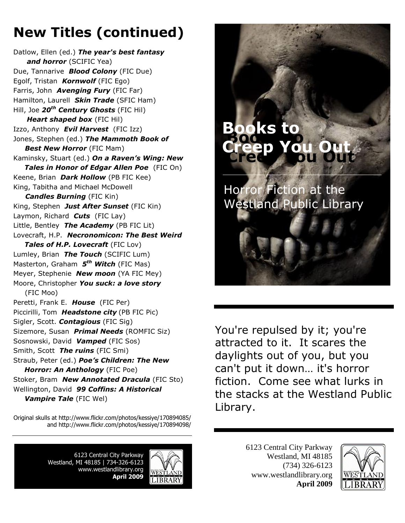## **New Titles (continued)**

Datlow, Ellen (ed.) *The year's best fantasy and horror* (SCIFIC Yea) Due, Tannarive *Blood Colony* (FIC Due) Egolf, Tristan *Kornwolf* (FIC Ego) Farris, John *Avenging Fury* (FIC Far) Hamilton, Laurell *Skin Trade* (SFIC Ham) Hill, Joe *20th Century Ghosts* (FIC Hil) *Heart shaped box (FIC Hil)* Izzo, Anthony *Evil Harvest* (FIC Izz) Jones, Stephen (ed.) *The Mammoth Book of Best New Horror* (FIC Mam) Kaminsky, Stuart (ed.) *On a Raven's Wing: New Tales in Honor of Edgar Allen Poe* (FIC On) Keene, Brian*Dark Hollow* (PB FIC Kee) King, Tabitha and Michael McDowell *Candles Burning* (FIC Kin) King, Stephen*Just After Sunset* (FIC Kin) Laymon, Richard*Cuts* (FIC Lay) Little, Bentley *The Academy* (PB FIC Lit) Lovecraft, H.P. *Necronomicon: The Best Weird Tales of H.P. Lovecraft* (FIC Lov) Lumley, Brian*The Touch* (SCIFIC Lum) Masterton, Graham *5 th Witch* (FIC Mas) Meyer, Stephenie *New moon* (YA FIC Mey) Moore, Christopher *You suck: a love story* (FIC Moo) Peretti, Frank E. *House* (FIC Per) Piccirilli, Tom*Headstone city* (PB FIC Pic) Sigler, Scott. *Contagious* (FIC Sig) Sizemore, Susan *Primal Needs* (ROMFIC Siz) Sosnowski, David*Vamped* (FIC Sos) Smith, Scott*The ruins* (FIC Smi) Straub, Peter (ed.) *Poe's Children: The New Horror: An Anthology* (FIC Poe) Stoker, Bram *New Annotated Dracula* (FIC Sto) Wellington, David*99 Coffins: A Historical Vampire Tale* (FIC Wel)

Original skulls at http://www.flickr.com/photos/kessiye/170894085/ and http://www.flickr.com/photos/kessiye/170894098/

> 6123 Central City Parkway Westland, MI 48185 | 734-326-6123 www.westlandlibrary.org **April 2009**





You're repulsed by it; you're attracted to it. It scares the daylights out of you, but you can't put it down… it's horror fiction. Come see what lurks in the stacks at the Westland Public Library.

> 6123 Central City Parkway Westland, MI 48185 (734) 326-6123 www.westlandlibrary.org **April 2009**